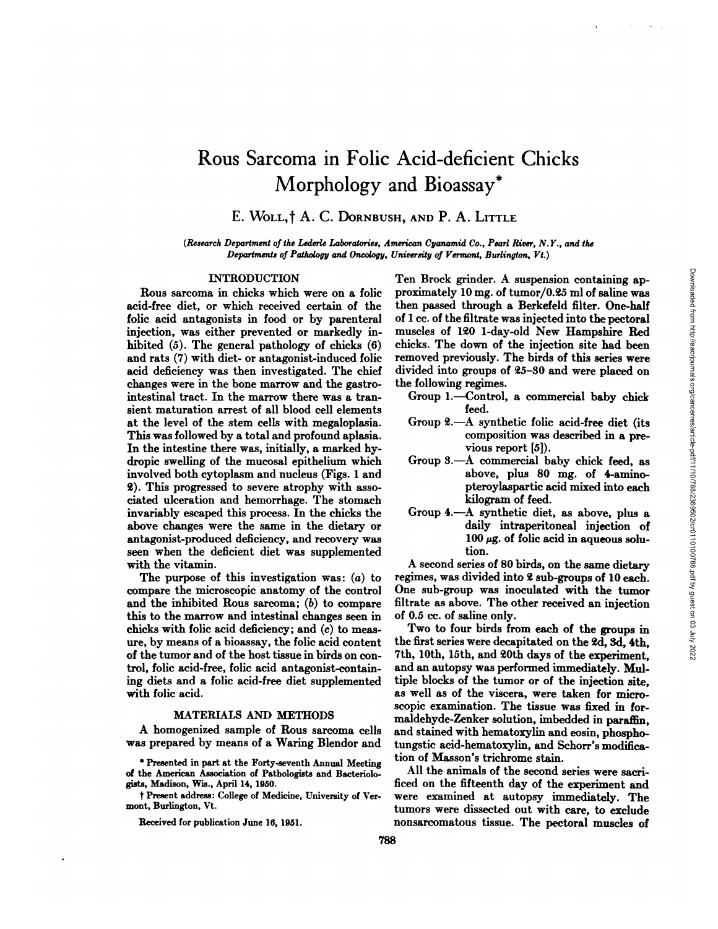# Rous Sarcoma in Folic Acid-deficient Chicks Morphology and Bioassay\*

# E. WOLL, † A. C. DORNBUSH, AND P. A. LITTLE

*(Research Department of the Lederie Laboratories, American Cyanamid Co., Pearl River, N.Y., and the Departments of Pathology and Oncology, University of Vermont, Burlington, Vt.)*

# INTRODUCTION

Rous sarcoma in chicks which were on a folic acid-free diet, or which received certain of the folic acid antagonists in food or by parentenal injection, was either prevented or markedly in hibited (5). The general pathology of chicks (6) and rats (7) with diet- or antagonist-induced folic acid deficiency was then investigated. The chief changes were in the bone marrow and the gastrointestinal tract. In the marrow there was a tran sient maturation arrest of all blood cell elements at the level of the stem cells with megaloplasia. This was followed by a total and profound aplasia. In the intestine there was, initially, a marked hy dropic swelling of the mucosal epithelium which involved both cytoplasm and nucleus (Figs. 1 and 2). This progressed to severe atrophy with asso ciated ulceration and hemorrhage. The stomach invariably escaped this process. In the chicks the above changes were the same in the dietary on antagonist-produced deficiency, and recovery was seen when the deficient diet was supplemented with the vitamin.

The purpose of this investigation was:  $(a)$  to compare the microscopic anatomy of the control and the inhibited Rous sarcoma; (b) to compare this to the marrow and intestinal changes seen in chicks with folic acid deficiency; and (c) to meas ure, by means of a bioassay, the folic acid content of the tumor and of the host tissue in birds on con trol, folic acid-free, folic acid antagonist-contain ing diets and a folic acid-free diet supplemented with folic acid.

# MATERIALS AND METHODS

A homogenized sample of Rous sarcoma cells was prepared by means of a Waring Blendor and

Received for publication June 16, 1951.

Ten Brock grinder. A suspension containing ap proximately 10 mg. of tumon/0.25 ml of saline was then passed through a Berkefeld filter. One-half of 1 cc. of the filtrate was injected into the pectoral muscles of 120 1-day-old New Hampshire Red chicks. The down of the injection site had been removed previously. The birds of this series were Ten Brock grinder. A suspension containing ap-<br>proximately 10 mg. of tumor/0.25 ml of saline was<br>the passed through a Berkefeld filter. One-half<br>of 1 cc. of the filtrate was injected into the pectoral<br>muscles of 120 1-day the following regimes.

- Group 1.—Control, a commercial baby chick feed.
- Group 2.-A synthetic folic acid-free diet (its composition was described in a pre vious report [5]).
- Group 3.—A commercial baby chick feed, as above, plus 80 mg. of 4-amino pteroylaspantic acid mixed into each kilogram of feed.
- Group 4.—A synthetic diet, as above, plus a daily intraperitoneal injection of 100  $\mu$ g. of folic acid in aqueous solution.

A second series of 80 birds, on the same dietary regimes, was divided into 2 sub-groups of 10 each. One sub-group was inoculated with the tumor filtrate as above. The other received an injection of 0.5 cc. of saline only.

Two to four birds from each of the groups in the first series were decapitated on the 2d, 3d, 4th, 7th, 10th, 15th, and 20th days of the experiment, and an autopsy was performed immediately. Mul tiple blocks of the tumor or of the injection site, as well as of the viscera, were taken for micro scopic examination. The tissue was fixed in for maldehyde-Zenker solution, imbedded in paraffin, and stained with hematoxylin and eosin, phospho tungstic acid-hematoxylin, and Schorr's modifica tion of Masson's trichrome stain.

All the animals of the second series were sacni ficed on the fifteenth day of the experiment and were examined at autopsy immediately. The tumors were dissected out with care, to exclude nonsancomatous tissue. The pectoral muscles of

<sup>\*</sup> Presented in part at the Forty-seventh Annual Meeting of the American Association of Pathologists and Bacteriologists, Madison, Wis., April 14, 1950.

t Present address: College of Medicine, University of Vermont, Burlington, Vt.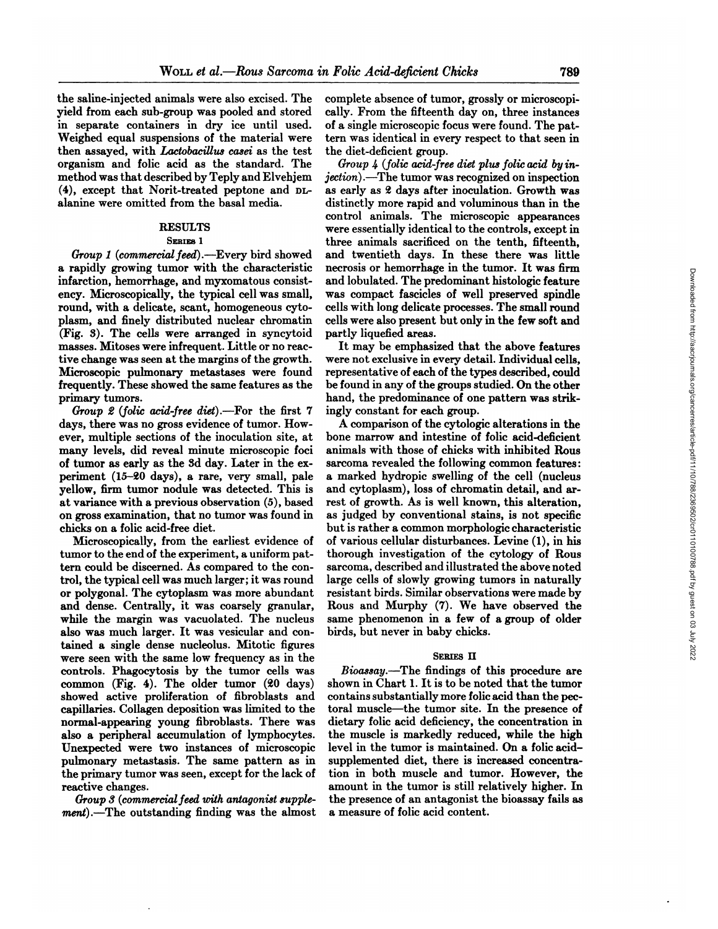the saline-injected animals were also excised. The yield from each sub-group was pooled and stored in separate containers in dry ice until used. Weighed equal suspensions of the material were then assayed, with Lactobacillus casei as the test organism and folic acid as the standard. The method was that described by Teply and Elvehjem **(4), except that Nonit-treated peptone and DL** alanine were omitted from the basal media.

# **RESULTS**

### SERIES<sub>1</sub>

*Group 1 (commercialfeed).—Every bird showed* a rapidly growing tumor with the characteristic infarction, hemorrhage, and myxomatous consist ency. Microscopically, the typical cell was small, round, with a delicate, scant, homogeneous cyto plasm, and finely distributed nuclear chromatin (Fig. 3). The cells were arranged in syncytoid masses. Mitoses were infrequent. Little or no reac tive change was seen at the margins of the growth. Microscopic pulmonary metastases were found frequently. These showed the same features as the primary tumors.

*Group 2* (folic acid-free diet).—For the first 7 days, there was no gross evidence of tumor. How ever, multiple sections of the inoculation site, at many levels, did reveal minute microscopic foci of tumor as early as the 3d day. Later in the ex periment (15-20 days), a rare, very small, pale yellow, firm tumor nodule was detected. This is at variance with a previous observation (5), based on gross examination, that no tumor was found in chicks on a folic acid-free diet.

Microscopically, from the earliest evidence of tumor to the end of the experiment, a uniform pat tern could be discerned. As compared to the con trol, the typical cell was much larger; it was round or polygonal. The cytoplasm was more abundant and dense. Centrally, it was coarsely granular, while the margin was vacuolated. The nucleus also was much larger. It was vesicular and con tamed a single dense nucleolus. Mitotic figures were seen with the same low frequency as in the controls. Phagocytosis by the tumor cells was common (Fig. 4). The older tumor (20 days) showed active proliferation of fibroblasts and capillaries. Collagen deposition was limited to the normal-appearing young fibroblasts. There was also a peripheral accumulation of lymphocytes. Unexpected were two instances of microscopic pulmonary metastasis. The same pattern as in the primary tumor was seen, except for the lack of reactive changes.

*Group*  $3$  (commercial feed with antagonist supple*ment*).—The outstanding finding was the almost complete absence of tumor, grossly or microscopically. From the fifteenth day on, three instances of a single microscopic focus were found. The pat tern was identical in every respect to that seen in the diet-deficient group.

*Group 4 (folic acid-free diet plus folio acid by in jection).—The tumor was recognized on inspection* as early as 2 days after inoculation. Growth was distinctly more rapid and voluminous than in the control animals. The microscopic appearances were essentially identical to the controls, except in three animals sacrificed on the tenth, fifteenth, and twentieth days. In these there was little necrosis or hemorrhage in the tumor. It was firm and lobulated. The predominant histologic feature was compact fascicles of well preserved spindle cells with long delicate processes. The small round cells were also present but only in the few soft and partly liquefied areas.

It may be emphasized that the above features Were not exclusive in every detail. Individual cells, representative of each of the types described, could be found in any of the groups studied. On the other hand, the predominance of one pattern was strik ingly constant for each group.

A comparison of the cytologic alterations in the bone marrow and intestine of folic acid-deficient animals with those of chicks with inhibited Rous sarcoma revealed the following common features: a marked hydropic swelling of the cell (nucleus and cytoplasm), loss of chromatin detail, and ar rest of growth. As is well known, this alteration, as judged by conventional stains, is not specific but is rather a common morphologic characteristic of various cellular disturbances. Levine (1), in his thorough investigation of the cytology of Rous sarcoma, described and illustrated the above noted large cells of slowly growing tumors in naturally resistant birds. Similar observations were made by Rous and Murphy (7). We have observed the same phenomenon in a few of a group of older birds, but never in baby chicks.

#### SERIES II

*Bioassay.—The findings of this procedure are* shown in Chart 1. It is to be noted that the tumor contains substantially more folic acid than the pee tonal muscle—the tumor site. In the presence of dietary folic acid deficiency, the concentration in the muscle is markedly reduced, while the high level in the tumor is maintained. On a folic acid supplemented diet, there is increased concentra tion in both muscle and tumor. However, the amount in the tumor is still relatively higher. In the presence of an antagonist the bioassay fails as a measure of folic acid content.